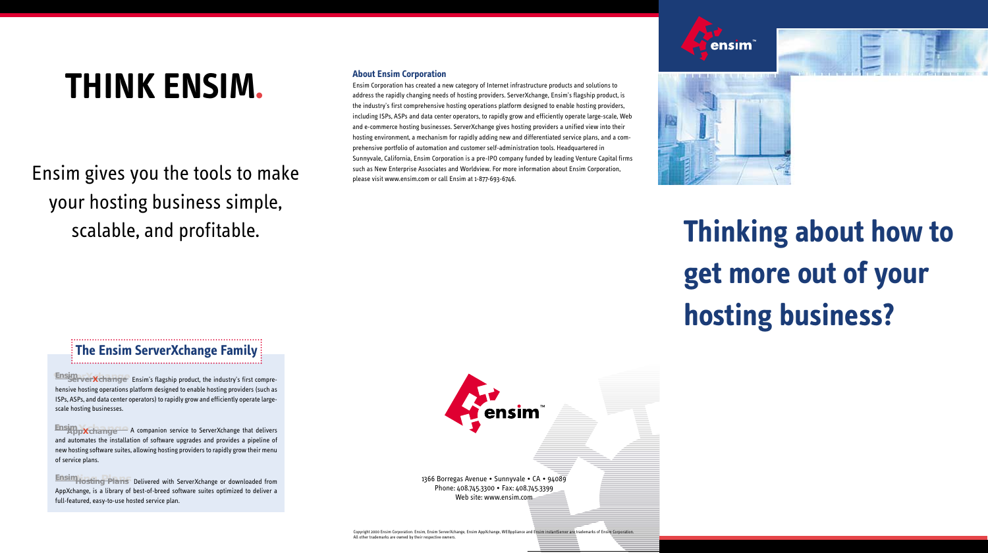# **Thinking about how to get more out of your hosting business?**



1366 Borregas Avenue • Sunnyvale • CA • 94089 Phone: 408.745.3300 • Fax: 408.745.3399 Web site: www.ensim.com

Copyright 2000 Ensim Corporation. Ensim, Ensim ServerXchange, Ensim AppXchange, WEBppliance and Ensim instantServer are trademarks of En All other trademarks are owned by their respective owners.



**Ensim**<br>ServerXchange Ensim's flagship product, the industry's first comprehensive hosting operations platform designed to enable hosting providers (such as ISPs, ASPs, and data center operators) to rapidly grow and efficiently operate largescale hosting businesses.

# **THINK ENSIM.**

**Ensim**<br>**AppXchange** A companion service to ServerXchange that delivers and automates the installation of software upgrades and provides a pipeline of new hosting software suites, allowing hosting providers to rapidly grow their menu of service plans.

**Ensim Hosting Plans** Delivered with ServerXchange or downloaded from AppXchange, is a library of best-of-breed software suites optimized to deliver a full-featured, easy-to-use hosted service plan.

Ensim gives you the tools to make your hosting business simple, scalable, and profitable.

### **About Ensim Corporation**

Ensim Corporation has created a new category of Internet infrastructure products and solutions to address the rapidly changing needs of hosting providers. ServerXchange, Ensim's flagship product, is the industry's first comprehensive hosting operations platform designed to enable hosting providers, including ISPs, ASPs and data center operators, to rapidly grow and efficiently operate large-scale, Web and e-commerce hosting businesses. ServerXchange gives hosting providers a unified view into their hosting environment, a mechanism for rapidly adding new and differentiated service plans, and a comprehensive portfolio of automation and customer self-administration tools. Headquartered in Sunnyvale, California, Ensim Corporation is a pre-IPO company funded by leading Venture Capital firms such as New Enterprise Associates and Worldview. For more information about Ensim Corporation, please visit www.ensim.com or call Ensim at 1-877-693-6746.



#### **The Ensim ServerXchange Family**